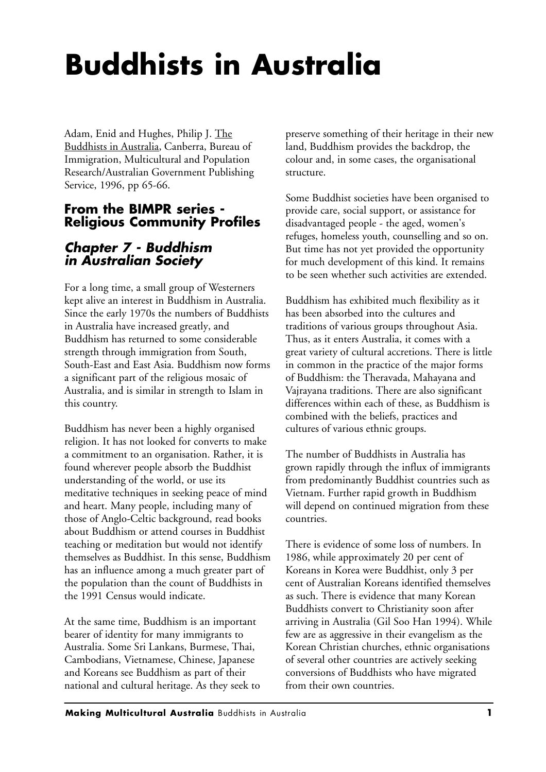## **Buddhists in Australia**

Adam, Enid and Hughes, Philip J. The Buddhists in Australia, Canberra, Bureau of Immigration, Multicultural and Population Research/Australian Government Publishing Service, 1996, pp 65-66.

## **From the BIMPR series - Religious Community Profiles**

## *Chapter 7 - Buddhism in Australian Society*

For a long time, a small group of Westerners kept alive an interest in Buddhism in Australia. Since the early 1970s the numbers of Buddhists in Australia have increased greatly, and Buddhism has returned to some considerable strength through immigration from South, South-East and East Asia. Buddhism now forms a significant part of the religious mosaic of Australia, and is similar in strength to Islam in this country.

Buddhism has never been a highly organised religion. It has not looked for converts to make a commitment to an organisation. Rather, it is found wherever people absorb the Buddhist understanding of the world, or use its meditative techniques in seeking peace of mind and heart. Many people, including many of those of Anglo-Celtic background, read books about Buddhism or attend courses in Buddhist teaching or meditation but would not identify themselves as Buddhist. In this sense, Buddhism has an influence among a much greater part of the population than the count of Buddhists in the 1991 Census would indicate.

At the same time, Buddhism is an important bearer of identity for many immigrants to Australia. Some Sri Lankans, Burmese, Thai, Cambodians, Vietnamese, Chinese, Japanese and Koreans see Buddhism as part of their national and cultural heritage. As they seek to preserve something of their heritage in their new land, Buddhism provides the backdrop, the colour and, in some cases, the organisational structure.

Some Buddhist societies have been organised to provide care, social support, or assistance for disadvantaged people - the aged, women's refuges, homeless youth, counselling and so on. But time has not yet provided the opportunity for much development of this kind. It remains to be seen whether such activities are extended.

Buddhism has exhibited much flexibility as it has been absorbed into the cultures and traditions of various groups throughout Asia. Thus, as it enters Australia, it comes with a great variety of cultural accretions. There is little in common in the practice of the major forms of Buddhism: the Theravada, Mahayana and Vajrayana traditions. There are also significant differences within each of these, as Buddhism is combined with the beliefs, practices and cultures of various ethnic groups.

The number of Buddhists in Australia has grown rapidly through the influx of immigrants from predominantly Buddhist countries such as Vietnam. Further rapid growth in Buddhism will depend on continued migration from these countries.

There is evidence of some loss of numbers. In 1986, while approximately 20 per cent of Koreans in Korea were Buddhist, only 3 per cent of Australian Koreans identified themselves as such. There is evidence that many Korean Buddhists convert to Christianity soon after arriving in Australia (Gil Soo Han 1994). While few are as aggressive in their evangelism as the Korean Christian churches, ethnic organisations of several other countries are actively seeking conversions of Buddhists who have migrated from their own countries.